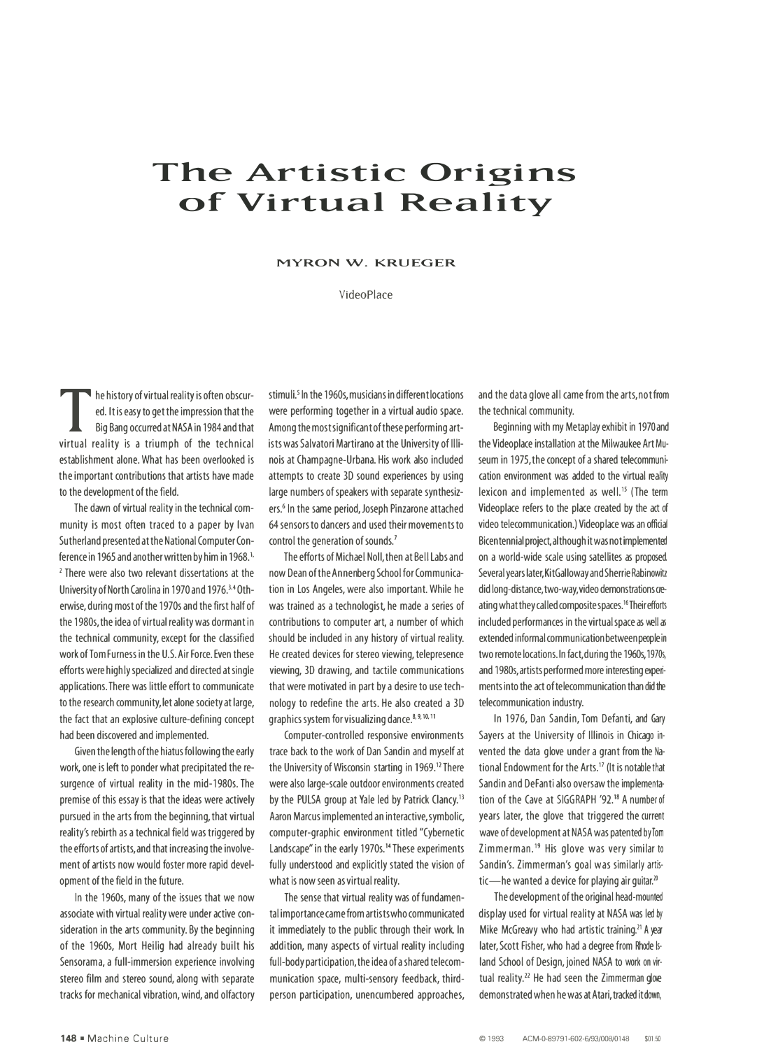## **The Artistic Origins of Virtual Reality**

## **MYRON W. KRUEGER**

VideoPlace

The history of virtual reality is often obscured.<br>
Eq. It is easy to get the impression that the<br>
Big Bang occurred at NASA in 1984 and that<br>
virtual reality is a triumph of the technical ed. It is easy to get the impression that the Big Bang occurred at NASA in 1984 and that virtual reality is a triumph of the technical establishment alone. What has been overlooked is the important contributions that artists have made to the development of the field.

The dawn of virtual reality in the technical community is most often traced to a paper by Ivan Sutherland presented at the National Computer Conference in 1965 and another written by him in 1968.<sup>1</sup> ·  $2$  There were also two relevant dissertations at the University of North Carolina in 1970 and 1976.<sup>3</sup>. 4 Otherwise, during most of the 1970s and the first half of the 1980s, the idea of virtual reality was dormant in the technical community, except for the classified work of Tom Furness in the U.S. Air Force. Even these efforts were highly specialized and directed at single applications. There was little effort to communicate to the research community, let alone society at large, the fact that an explosive culture-defining concept had been discovered and implemented.

Given the length of the hiatus following the early work, one is left to ponder what precipitated the resurgence of virtual reality in the mid-1980s. The premise of this essay is that the ideas were actively pursued in the arts from the beginning, that virtual reality's rebirth as a technical field was triggered by the efforts of artists,and that increasing the involvement of artists now would foster more rapid development of the field in the future.

In the 1960s, many of the issues that we now associate with virtual reality were under active consideration in the arts community. By the beginning of the 1960s, Mort Heilig had already built his Sensorama, a full-immersion experience involving stereo film and stereo sound, along with separate tracks for mechanical vibration, wind, and olfactory stimuli.<sup>5</sup> In the 1960s, musicians in different locations were performing together in a virtual audio space. Among the most significant of these performing artists was Salvatori Martirano at the University of Illinois at Champagne-Urbana. His work also included attempts to create 3D sound experiences by using large numbers of speakers with separate synthesizers.<sup>6</sup> In the same period, Joseph Pinzarone attached 64 sensors to dancers and used their movements to control the generation of sounds.<sup>7</sup>

The efforts of Michael Noll, then at Bell Labs and now Dean of the Annenberg School for Communication in Los Angeles, were also important. While he was trained as a technologist, he made a series of contributions to computer art, a number of which should be included in any history of virtual reality. He created devices for stereo viewing, telepresence viewing, 3D drawing, and tactile communications that were motivated in part by a desire to use technology to redefine the arts. He also created a 3D graphics system for visualizing dance.<sup>8, 9, 10, 11</sup>

Computer-controlled responsive environments trace back to the work of Dan Sandin and myself at the University of Wisconsin starting in 1969.<sup>12</sup> There were also large-scale outdoor environments created by the PULSA group at Yale led by Patrick Clancy.<sup>13</sup> Aaron Marcus implemented an interactive,symbolic, computer-graphic environment titled "Cybernetic Landscape" in the early 1970s.<sup>14</sup> These experiments fully understood and explicitly stated the vision of what is now seen as virtual reality.

The sense that virtual reality was of fundamental importance came from artists who communicated it immediately to the public through their work. In addition, many aspects of virtual reality including full-body participation, the idea of a shared telecommunication space, multi-sensory feedback, thirdperson participation, unencumbered approaches, and the data glove all came from the arts, not from the technical community.

Beginning with my Metaplay exhibit in 1970 and the Videoplace installation at the Milwaukee Art Museum in 1975, the concept of a shared telecommunication environment was added to the virtual reality lexicon and implemented as well.<sup>15</sup> (The term Videoplace refers to the place created by the act of video telecommunication.) Videoplace was an official Bicentennial project, although it was not implemented on a world-wide scale using satellites as proposed. Several years later,KitGalloway and Sherrie Rabinowitz did long-distance, two-way, video demonstrations creating what they called composite spaces.16Their efforts included performances in the virtual space as well as extended informal communication between people in two remote locations. In fact, during the 1960s, 1970s, and 1980s,artists performed more interesting experiments into the act of telecommunication than did the telecommunication industry.

In 1976, Dan Sandin, Tom Defanti, and Gary Sayers at the University of Illinois in Chicago invented the data glove under a grant from the National Endowment for the Arts.17 (It is notable that Sandin and DeFanti also oversaw the implementation of the Cave at SIGGRAPH '92.18 A number of years later, the glove that triggered the current wave of development at NASA was patented by Tom Zimmerman.19 His glove was very similar to Sandin's. Zimmerman's goal was similarly artistic-he wanted a device for playing air quitar.<sup>20</sup>

The development of the original head-mounted display used for virtual reality at NASA was led by Mike McGreavy who had artistic training.<sup>21</sup> A year later, Scott Fisher, who had a degree from Rhode lsland School of Design, joined NASA to work on virtual reality.<sup>22</sup> He had seen the Zimmerman glove demonstrated when he was at Atari, tracked it down,